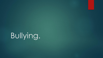# Bullying.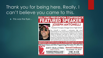# Thank you for being here. Really. I can't believe you came to this.

 $\blacktriangleright$  This was the flyer...

#### URED SPEAKER EΕA



#### **JOSEPH ANTONELLI**

Assistant Principal, Orange Grove High School

Joe Antonelli is currently a continuation high school administrator for the Corona-Norco Unified School District, an adjunct professor at the University of Redlands in the Graduate School of Education, and leads an online course on trauma at Thriving Youniversity, which focuses on trauma-informed practices in education and private industry. Joe was a California Continuation Education Association Administrator of the Year in 2014 and 2019 and is an advocate for all students.

November 19, 2019

 $$100 \cdot 8 - 3:30$ 

Meals and Parking Included

legistration and Information at AntiBullyingInstitute.org FREE Parent Classes and Other Programming Information 951.682.2753 **ANTI BULLYING Annual Conference** 

**INSTITUTE RIVERSIDE MEDICAL CLINIC** 

**CHARITABLE FOUNDATION**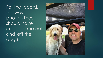For the record, this was the photo. (They should have cropped me out and left the dog.)

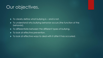#### Our objectives.

- $\blacktriangleright$  To clearly define what bullying is  $-$  and is not.
- $\blacktriangleright$  To understand why bullying behavior occurs (the function of the behavior).
- $\blacktriangleright$  To differentiate between the different types of bullying.
- $\blacktriangleright$  To look at effective prevention.
- $\blacktriangleright$  To look at effective ways to deal with it after it has occurred.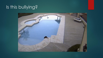# Is this bullying?

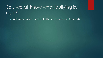# So…we all know what bullying is, right?

With your neighbor, discuss what bullying is for about 30 seconds.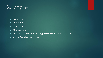# Bullying is-

- Repeated
- $\blacktriangleright$  Intentional
- ▶ Over time
- Causes harm
- Involves a person/group of **greater power** over the victim
- $\blacktriangleright$  Victim feels helpless to respond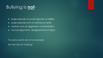# Bullying is **not**-

single episode of social rejection or dislike

- single episode acts of nastiness or spite
- **Figure 1** random acts of aggression or intimidation
- $\blacktriangleright$  mutual arguments, disagreements or fights

The above points are not acceptable!

But they are not "bullying."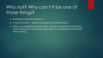# Why not? Why can't it be one of those things?

- Bullying is a specific behavior.
- $\blacktriangleright$  It has a function there is a reason why people bully.
- When we understand the function, we also understand why those other things are not bullying. They need to be addressed differently from bullying.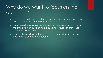# Why do we want to focus on the definition?

- If we are going to prevent it or apply corrective consequences, we have to know what we're dealing with.
- If your eye doctor simply determined that everyone who came into the office with blurry vision had glaucoma, would you think that doctor was effective?
- Some behaviors that look similar have entirely different functions and need to be treated differently.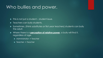#### Who bullies and power.

- $\blacktriangleright$  This is not just a student student issue.
- **Figure 1** Teachers can bully students.
- Sometimes, (think substitutes or first year teachers) students can bully the adult.
- Where there is a **perception of relative power**, a bully will find it, regardless of age.
	- ▶ Administrator -> Teacher
	- ▶ Teacher -> Teacher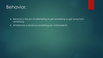#### Behavior.

- Behavior is the act of attempting to get something or get away from something.
- All behavior is driven by something (an antecedent).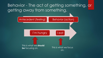#### Behavior - The act of getting something, or getting away from something.

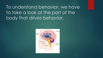To understand behavior, we have to take a look at the part of the body that drives behavior.

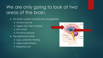# We are only going to look at two areas of the brain.

- $\blacktriangleright$  The limbic system (contains the amygdalae)
	- All about survival
	- **Triggers fight, flight or freeze**
	- Non-verbal
	- **Emotional response**
- The prefrontal cortex
	- ▶ Logic, predictive thinking
	- Higher-order thinking
	- Regulatory part

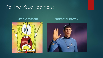#### For the visual learners:



#### **Limbic system Prefrontal cortex**

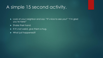#### A simple 15 second activity.

- ▶ Look at your neighbor and say: "It's nice to see you!" "I'm glad you're here!"
- Shake their hand.
- $\blacktriangleright$  If it's not weird, give them a hug.
- What just happened?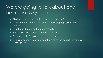# We are going to talk about one hormone: Oxytocin.

- Oxytocin is sometimes called "the love hormone"
- When we feel bonded with an individual or group, oxytocin is released
- If feels good to be part of a community
- ▶ This good feeling serves functions...of course
- By being part of a group, we are protected
- ▶ By being bonded to an individual, we have the opportunity to pass on our genes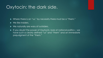#### Oxytocin: the dark side.

- ▶ Where there is an "us," by necessity there must be a "them."
- ▶ We like insiders.
- ▶ We naturally are wary of outsiders.
- $\blacktriangleright$  If you doubt the power of Oxytocin, look at national politics we have such a clearly defined "us" and "them" and an immediate prejudgment of the "them."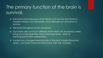# The primary function of the brain is survival.

- Survival is tricky because what allows us to survive and thrive in modern times is not necessarily what allowed our ancestors to survive.
- ▶ We have the genes of our ancestors.
- ▶ Our brains are not much different from when we (humanity) were living as hunter/gatherer tribes following herds – prior to farming/permanent settlements.
- Society has changed dramatically in the past couple thousand years – our brains have not kept pace with the changes.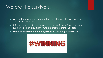#### We are the survivors.

- ▶ We are the product of an unbroken line of genes that go back to the earliest ancestors.
- This means each of our ancestors made decisions "behaved" in such a way that allowed them to procreate before they died.
- **Behavior that did not encourage survival did not get passed on**.

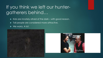# If you think we left our huntergatherers behind…

- Kids are innately afraid of the dark with good reason.
- $\blacktriangleright$  Tall people are considered more attractive.
- ▶ We worry. A lot.



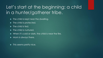# Let's start at the beginning: a child in a hunter/gatherer tribe.

- $\blacktriangleright$  The child is kept near the dwelling.
- $\blacktriangleright$  The child is protected.
- $\blacktriangleright$  The child is fed.
- The child is nurtured.
- When it's cold or dark, the child is near the fire.
- Mom is always there.
- $\blacktriangleright$  This seems pretty nice.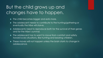# But the child grows up and changes have to happen.

- $\blacktriangleright$  The child becomes bigger and eats more.
- ▶ The adolescent needs to contribute to the hunting/gathering or eventually the tribe will starve.
- Adolescents need to reproduce both for the survival of their genes and for the tribe's survival.
- $\blacktriangleright$  The adolescent has to want to move from comfort and safety toward scary situations, like hunting and bearing children.
- $\blacktriangleright$  These moves will not happen unless the brain starts to change in adolescence.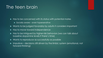#### The teen brain

 $\blacktriangleright$  Has to be concerned with its status with potential mates

- $\triangleright$  Socially aware even hypersensitive
- Wants to be judged favorably by adults it considers important
- ▶ Has to move toward independence
- ▶ Has to be intrigued by higher-risk behaviors (we can talk about baseline dopamine levels if there's time)
- ▶ Wants to reproduce as successfully as possible
- $\blacktriangleright$  Impulsive decisions still driven by the limbic system (emotional, not forward-thinking)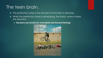#### The teen brain.

- $\blacktriangleright$  The prefrontal cortex is the last part of the brain to develop.
- While the prefrontal cortex is developing, the limbic system makes the decisions.
	- **Decisions are emotional, immediate (not forward thinking)**

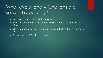# What evolutionary functions are served by bullying?

- **IMPROVED SOCIAL STATUS better mates**
- Asserting dominance over others making oneself essential to the tribe
- Getting more resources food means strength, less likely to become sick
- Culling the weak (drain on resources)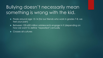# Bullying doesn't necessarily mean something is wrong with the kid.

- Peaks around age 13-14 (for our friends who work in grades 7-8, we feel your pain)
- Between 100-600 million adolescents engage in it (depending on how we want to define "repeated") annually
- Crosses all cultures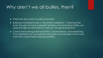#### Why aren't we all bullies, then?

**There are risks (costs) as well as rewards.** 

- Bullying is theorized to be a "facultative adaption," meaning that even though we have a genetic tendency toward being bullies, we need the right environment to "turn on" the genes/behavior.
- ▶ Costs involve strong adult sanctions, cultural taboos, and predicting if an individual can successfully bully (does the intended victim have traits that would make bullying backfire).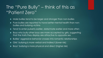# The "Pure Bully" – think of this as "Patient Zero"

- $\blacktriangleright$  Male bullies tend to be larger and stronger than non-bullies
- Pure bullies are reported to have better mental health than nonbullies and bullying victims
- ▶ Tend to enter puberty earlier, date/mate earlier and more often
- Boys who bully other boys are more accepted by girls, suggesting that the traits they display are attractive to opposite sex
- Bullies' aggressive behavior crosses into romantic relationships
- Girls' bullying is more verbal and indirect (lower risk)
- Boys' bullying is more physical and direct (higher risk)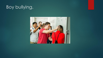# Boy bullying.

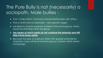# The Pure Bully is not (necessarily) a sociopath. Male bullies -

- ▶ Can "code switch" and have normal relationships with others.
- $\blacktriangleright$  Pick a victim who is vulnerable very specific target.
- Are likely to choose someone outside of the social group, which boosts his standing within the group
- **Are aware of which adults do not condone the behavior and will hide it from those adults**.
- Because this type of bullying is riskier with greater potential for retaliation, boys will tend toward in-group cohesion (think teams and gangs).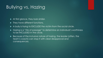# Bullying vs. Hazing

- At first glance, they look similar.
- ▶ They have different functions.
- A bully is trying to EXCLUDE the victim from the social circle.
- ▶ Hazing is a "rite of passage" to determine an individual's worthiness to be INCLUDED in the circle.
- Because of the inclusive nature of hazing, the leader (often, the team's coach) can stop it with clear disapproval and consequences.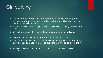# Girl bullying

- ▶ We have to talk about sex. Boys can reproduce without long-term consequences and have more offspring than girls. Girls also have to consider being long-term care givers.
- This leads to girl behavior (with regard to bullying) looking different from boys'.
- Girl bullying is less risky higher level of verbal and indirect social bullying.
- **Lesser chance of adult punishment and victim retaliation.**
- Girl bullying focuses more on other girls' sexual promiscuity and flaws in physical appearance. Why? To reduce the victims' appeal to potential mates.
- Rumors and social exclusion also limit victims' access to potential mates.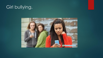# Girl bullying.

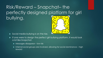Risk/Reward – Snapchat– the perfectly designed platform for girl bullying.

- Social media bullying is on the rise.
- If one were to design the perfect girl bullying platform, it would look a lot like Snapchat.
	- Messages disappear low risk
	- $\blacktriangleright$  Internal social groups are involved, allowing for social dominance  $-$  high reward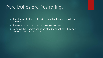#### Pure bullies are frustrating.

- $\blacktriangleright$  They know what to say to adults to deflect blame or hide the bullying.
- $\blacktriangleright$  They often are able to maintain appearances.
- Because their targets are often afraid to speak out, they can continue with the behavior.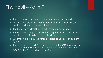#### The "bully-victim"

- $\blacktriangleright$  This is a person who bullies as a response to being bullied
- Bully-victims: less adept at pro-social behavior, exhibit less selfcontrol, and tend to be less athletic
- $\blacktriangleright$  The bully-victim is less likely to bully for social dominance
- ▶ The bully-victim engages in reactive aggression, retaliation, and impulsive, emotionally volatile behaviors
- Will often have ill-advised targets (across genders, or at authority figures)
- $\blacktriangleright$  This is the profile of EVERY special ed student at OGHS who was sent for terroristic threats! (BTW: their bullies have never been sent to OGHS for the initial bullying behavior.)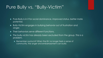#### Pure Bully vs. "Bully-Victim"

- Pure Bully is in it for social dominance, improved status, better mate potential.
- Bully-Victim engages in bullying behavior out of frustration and anger.
- **Fighthrow Their behaviors serve different functions.**
- $\blacktriangleright$  The bully-victim has already been excluded from the group. This is a problem.
	- Remember oxytocin? When the BV no longer feels a sense of community, the anger and embarrassment can build.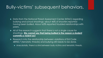#### Bully-victims' subsequent behaviors.

- ▶ Data from the National Threat Assessment Center (NTAC) regarding bullying and school shootings: about 46% of shooters reported having been bullied. About 63% reported troubled relationships with peers.
- All of the research suggests that there is not a single cause for shootings. **We cannot say that being bullied is the reason a student commits a violent act**.
- Research into the relationship between violations of Ed Code 48900.7 (terroristic threats) and bullying still needs to be done.
	- Anecdotally, there is a link between bully victims and terroristic threats.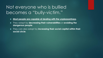#### Not everyone who is bullied becomes a "bully-victim."

- **Most people are capable of dealing with the unpleasantness**.
- They adapt by **decreasing their vulnerabilities** or **avoiding the dangerous people**.
- They can also adapt by **increasing their social capital within their social circle**.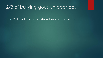#### 2/3 of bullying goes unreported.

Most people who are bullied adapt to minimize the behavior.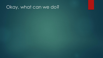#### Okay, what can we do?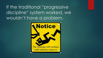If the traditional "progressive discipline" system worked, we wouldn't have a problem.

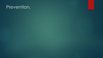#### Prevention.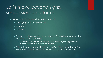# Let's move beyond signs, suspensions and forms.

- When we create a culture in a school of:
	- ▶ Belonging (remember oxytocin?)
	- Empathy
	- **Kindness**
	- ▶ We are creating an environment where a Pure Bully does not get the benefits from the behavior.
		- The norms of the group are not responsive to displays of aggression or bullying. Bullying puts you outside the circle.
	- When students can say, "That's not cool" or "That's not attractive" in response to bullying behavior, there is not a gain in social status.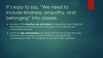# It's easy to say, "We need to include kindness, empathy, and belonging" into classes.

- However, if the **teachers are not trained** in integrating these things into the classroom environment and curriculum, it's not going to be systemically adopted.
- And if the **site administrators** are being told that test scores are more important than creating a culture where we recognize the neurobiology of kids, it's not going to be systemically adopted.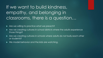If we want to build kindness, empathy, and belonging in classrooms, there is a question…

Are we willing to practice what we preach?

- ▶ Are we creating cultures in school districts where the adults experience those things?
- ▶ Are we creating cultures in schools where adults do not bully each other or students?
- ▶ We model behavior and the kids are watching.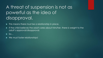# A threat of suspension is not as powerful as the idea of disapproval.

This means there must be a relationship in place.

- If the child believes the adult cares about him/her, there is weight to the adult's approval/disapproval.
- $\blacktriangleright$  So...
- We must foster relationships!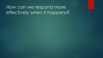#### How can we respond more effectively when it happens?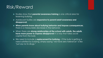#### Risk/Reward

- Studies show that **parental awareness training** is one critical area for lessening bullying.
- Adolescent bullies are **responsive to parent/adult awareness and disapproval**.
- **When parents know about bullying behavior and impose consequences**, there is a measurable decrease in the behavior.
- When there are **strong relationships at the school with adults**, **the adults have more power to express disapproval** in a way that takes social capital from the bully
- We need to include a **replacement for bullying** if the bully is getting a need satisfied by bullying, simply saying "we have zero tolerance" is like "just say no to drugs."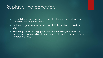#### Replace the behavior.

- $\blacktriangleright$  If social dominance/security is a goal for the pure bullies, then we should be working to develop:
- Inclusion in **groups/teams – Help the child find status in a positive way**
- **Encourage bullies to engage in acts of charity and/or altruism** (this increases social status by allowing them to flaunt their skills/attributes in a positive way)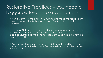# Restorative Practices – you need a bigger picture before you jump in.

When a victim tells the bully, "You hurt me and made me feel like I am less of a person," the bully hears, "I won." We just reinforced the behavior.

In order for RP to work, the perpetrator has to have a sense that he has done something wrong and that there is more value to apologizing/stopping the behavior than continuing it. To an extent, he has to feel guilt.

RP can work if the school has been modeling circles and has created a safe community. The bully must feel he/she has violated the norms of the community.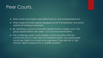#### Peer Courts.

- Peer courts have been used effectively to stop bullying behavior.
- When peers formally express disapproval for the behavior, the social capital of bullying is lessened.
- By creating a school community where there is a peer court, the group expectations are clear – so it can be preventative.
- ▶ The challenge: peer courts require communication with the community and a clear plan for implementation. Successful peer courts are highly structured and organized. They are not a "last minute" idea to respond to a volatile situation.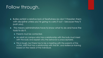#### Follow through.

- Bullies exhibit a relative lack of fearfulness (so don't threaten them with discipline unless you're going to carry it out – because they'll push you).
- $\blacktriangleright$  This means administrators have to know what to do and have the tools to do it.
	- **Parents must be contacted.**
	- An adult on campus who has a relationship with the bully must meet with the bully and explain why the behavior is unacceptable.
	- $\blacktriangleright$  This is tough, but there has to be a meeting with the parents of the victim, staff that has a relationship with the BV, and resilience-training based on the needs of the individual.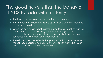#### The good news is that the behavior TENDS to fade with maturity.

- $\blacktriangleright$  The teen brain is making decisions in the limbic system.
- ▶ These emotionally-based decisions USUALLY end up being replaced as the brain develops.
- ▶ When the bully finds the behavior to be ineffective in achieving their goals, they stop. So, when they find success through other processes, bullying subsides. (However, like any behavior, when it succeeds, it is reinforced, and it continues.)
- ▶ There is a saying: Memories that happen more than once become models. So, a person who bullies without ever having the behavior checked is likely to continue into adulthood.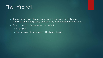#### The third rail.

 $\blacktriangleright$  The average age of a school shooter is between 16-17 (sadly, because of the frequency of shootings, this is constantly changing).

▶ Does a bully-victim become a shooter?

- Sometimes.
- But there are other factors contributing to the act.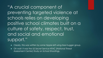"A crucial component of preventing targeted violence at schools relies on developing positive school climates built on a culture of safety, respect, trust, and social and emotional support."

- Clearly, this was written by some hippie-left-wing-tree-hugger group.
- Oh wait: it was the US Secret Service NTAC (National Threat Assessment Center) Study on School Shootings.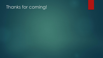#### Thanks for coming!